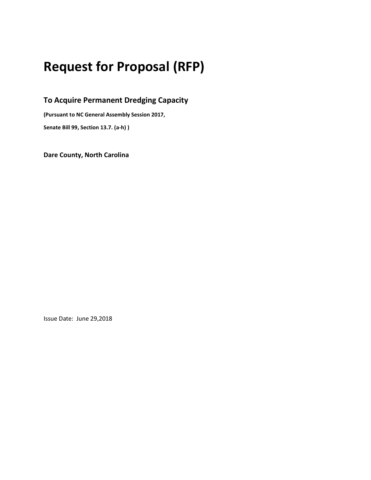# Request for Proposal (RFP)

To Acquire Permanent Dredging Capacity

(Pursuant to NC General Assembly Session 2017,

Senate Bill 99, Section 13.7. (a-h) )

Dare County, North Carolina

Issue Date: June 29,2018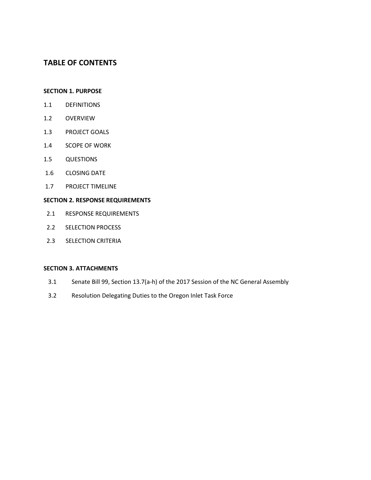# TABLE OF CONTENTS

#### SECTION 1. PURPOSE

- 1.1 DEFINITIONS
- 1.2 OVERVIEW
- 1.3 PROJECT GOALS
- 1.4 SCOPE OF WORK
- 1.5 QUESTIONS
- 1.6 CLOSING DATE
- 1.7 PROJECT TIMELINE

#### SECTION 2. RESPONSE REQUIREMENTS

- 2.1 RESPONSE REQUIREMENTS
- 2.2 SELECTION PROCESS
- 2.3 SELECTION CRITERIA

#### SECTION 3. ATTACHMENTS

- 3.1 Senate Bill 99, Section 13.7(a-h) of the 2017 Session of the NC General Assembly
- 3.2 Resolution Delegating Duties to the Oregon Inlet Task Force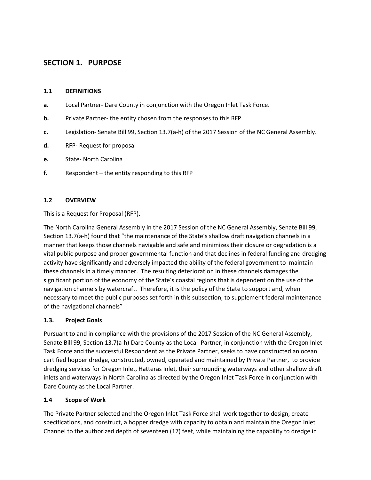# SECTION 1. PURPOSE

## 1.1 DEFINITIONS

- a. Local Partner- Dare County in conjunction with the Oregon Inlet Task Force.
- **b.** Private Partner- the entity chosen from the responses to this RFP.
- c. Legislation- Senate Bill 99, Section 13.7(a-h) of the 2017 Session of the NC General Assembly.
- d. RFP- Request for proposal
- e. State- North Carolina
- f. Respondent the entity responding to this RFP

## 1.2 OVERVIEW

This is a Request for Proposal (RFP).

The North Carolina General Assembly in the 2017 Session of the NC General Assembly, Senate Bill 99, Section 13.7(a-h) found that "the maintenance of the State's shallow draft navigation channels in a manner that keeps those channels navigable and safe and minimizes their closure or degradation is a vital public purpose and proper governmental function and that declines in federal funding and dredging activity have significantly and adversely impacted the ability of the federal government to maintain these channels in a timely manner. The resulting deterioration in these channels damages the significant portion of the economy of the State's coastal regions that is dependent on the use of the navigation channels by watercraft. Therefore, it is the policy of the State to support and, when necessary to meet the public purposes set forth in this subsection, to supplement federal maintenance of the navigational channels"

## 1.3. Project Goals

Pursuant to and in compliance with the provisions of the 2017 Session of the NC General Assembly, Senate Bill 99, Section 13.7(a-h) Dare County as the Local Partner, in conjunction with the Oregon Inlet Task Force and the successful Respondent as the Private Partner, seeks to have constructed an ocean certified hopper dredge, constructed, owned, operated and maintained by Private Partner, to provide dredging services for Oregon Inlet, Hatteras Inlet, their surrounding waterways and other shallow draft inlets and waterways in North Carolina as directed by the Oregon Inlet Task Force in conjunction with Dare County as the Local Partner.

## 1.4 Scope of Work

The Private Partner selected and the Oregon Inlet Task Force shall work together to design, create specifications, and construct, a hopper dredge with capacity to obtain and maintain the Oregon Inlet Channel to the authorized depth of seventeen (17) feet, while maintaining the capability to dredge in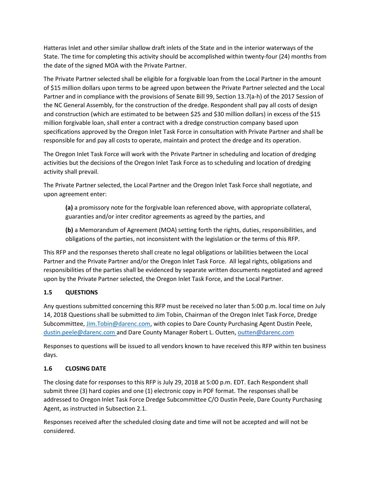Hatteras Inlet and other similar shallow draft inlets of the State and in the interior waterways of the State. The time for completing this activity should be accomplished within twenty-four (24) months from the date of the signed MOA with the Private Partner.

The Private Partner selected shall be eligible for a forgivable loan from the Local Partner in the amount of \$15 million dollars upon terms to be agreed upon between the Private Partner selected and the Local Partner and in compliance with the provisions of Senate Bill 99, Section 13.7(a-h) of the 2017 Session of the NC General Assembly, for the construction of the dredge. Respondent shall pay all costs of design and construction (which are estimated to be between \$25 and \$30 million dollars) in excess of the \$15 million forgivable loan, shall enter a contract with a dredge construction company based upon specifications approved by the Oregon Inlet Task Force in consultation with Private Partner and shall be responsible for and pay all costs to operate, maintain and protect the dredge and its operation.

The Oregon Inlet Task Force will work with the Private Partner in scheduling and location of dredging activities but the decisions of the Oregon Inlet Task Force as to scheduling and location of dredging activity shall prevail.

The Private Partner selected, the Local Partner and the Oregon Inlet Task Force shall negotiate, and upon agreement enter:

(a) a promissory note for the forgivable loan referenced above, with appropriate collateral, guaranties and/or inter creditor agreements as agreed by the parties, and

(b) a Memorandum of Agreement (MOA) setting forth the rights, duties, responsibilities, and obligations of the parties, not inconsistent with the legislation or the terms of this RFP.

This RFP and the responses thereto shall create no legal obligations or labilities between the Local Partner and the Private Partner and/or the Oregon Inlet Task Force. All legal rights, obligations and responsibilities of the parties shall be evidenced by separate written documents negotiated and agreed upon by the Private Partner selected, the Oregon Inlet Task Force, and the Local Partner.

## 1.5 QUESTIONS

Any questions submitted concerning this RFP must be received no later than 5:00 p.m. local time on July 14, 2018 Questions shall be submitted to Jim Tobin, Chairman of the Oregon Inlet Task Force, Dredge Subcommittee, Jim.Tobin@darenc.com, with copies to Dare County Purchasing Agent Dustin Peele, dustin.peele@darenc.com and Dare County Manager Robert L. Outten, outten@darenc.com

Responses to questions will be issued to all vendors known to have received this RFP within ten business days.

## 1.6 CLOSING DATE

The closing date for responses to this RFP is July 29, 2018 at 5:00 p.m. EDT. Each Respondent shall submit three (3) hard copies and one (1) electronic copy in PDF format. The responses shall be addressed to Oregon Inlet Task Force Dredge Subcommittee C/O Dustin Peele, Dare County Purchasing Agent, as instructed in Subsection 2.1.

Responses received after the scheduled closing date and time will not be accepted and will not be considered.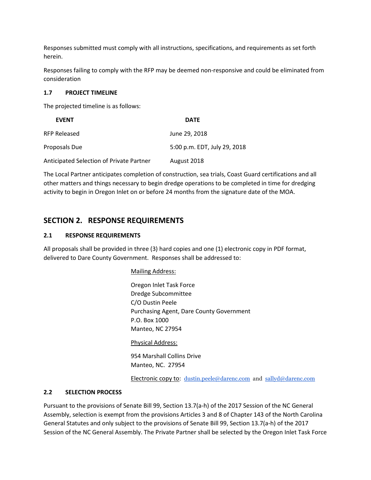Responses submitted must comply with all instructions, specifications, and requirements as set forth herein.

Responses failing to comply with the RFP may be deemed non-responsive and could be eliminated from consideration

#### 1.7 PROJECT TIMELINE

The projected timeline is as follows:

| <b>EVENT</b>                             | <b>DATE</b>                  |
|------------------------------------------|------------------------------|
| <b>RFP Released</b>                      | June 29, 2018                |
| Proposals Due                            | 5:00 p.m. EDT, July 29, 2018 |
| Anticipated Selection of Private Partner | August 2018                  |

The Local Partner anticipates completion of construction, sea trials, Coast Guard certifications and all other matters and things necessary to begin dredge operations to be completed in time for dredging activity to begin in Oregon Inlet on or before 24 months from the signature date of the MOA.

# SECTION 2. RESPONSE REQUIREMENTS

#### 2.1 RESPONSE REQUIREMENTS

All proposals shall be provided in three (3) hard copies and one (1) electronic copy in PDF format, delivered to Dare County Government. Responses shall be addressed to:

Mailing Address:

Oregon Inlet Task Force Dredge Subcommittee C/O Dustin Peele Purchasing Agent, Dare County Government P.O. Box 1000 Manteo, NC 27954

Physical Address:

954 Marshall Collins Drive Manteo, NC. 27954

Electronic copy to: dustin.peele@darenc.com and sallyd@darenc.com

#### 2.2 SELECTION PROCESS

Pursuant to the provisions of Senate Bill 99, Section 13.7(a-h) of the 2017 Session of the NC General Assembly, selection is exempt from the provisions Articles 3 and 8 of Chapter 143 of the North Carolina General Statutes and only subject to the provisions of Senate Bill 99, Section 13.7(a-h) of the 2017 Session of the NC General Assembly. The Private Partner shall be selected by the Oregon Inlet Task Force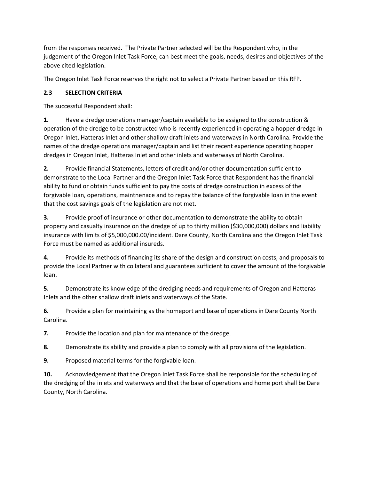from the responses received. The Private Partner selected will be the Respondent who, in the judgement of the Oregon Inlet Task Force, can best meet the goals, needs, desires and objectives of the above cited legislation.

The Oregon Inlet Task Force reserves the right not to select a Private Partner based on this RFP.

# 2.3 SELECTION CRITERIA

The successful Respondent shall:

1. Have a dredge operations manager/captain available to be assigned to the construction & operation of the dredge to be constructed who is recently experienced in operating a hopper dredge in Oregon Inlet, Hatteras Inlet and other shallow draft inlets and waterways in North Carolina. Provide the names of the dredge operations manager/captain and list their recent experience operating hopper dredges in Oregon Inlet, Hatteras Inlet and other inlets and waterways of North Carolina.

2. Provide financial Statements, letters of credit and/or other documentation sufficient to demonstrate to the Local Partner and the Oregon Inlet Task Force that Respondent has the financial ability to fund or obtain funds sufficient to pay the costs of dredge construction in excess of the forgivable loan, operations, maintnenace and to repay the balance of the forgivable loan in the event that the cost savings goals of the legislation are not met.

3. Provide proof of insurance or other documentation to demonstrate the ability to obtain property and casualty insurance on the dredge of up to thirty million (\$30,000,000) dollars and liability insurance with limits of \$5,000,000.00/incident. Dare County, North Carolina and the Oregon Inlet Task Force must be named as additional insureds.

4. Provide its methods of financing its share of the design and construction costs, and proposals to provide the Local Partner with collateral and guarantees sufficient to cover the amount of the forgivable loan.

5. Demonstrate its knowledge of the dredging needs and requirements of Oregon and Hatteras Inlets and the other shallow draft inlets and waterways of the State.

6. Provide a plan for maintaining as the homeport and base of operations in Dare County North Carolina.

7. Provide the location and plan for maintenance of the dredge.

8. Demonstrate its ability and provide a plan to comply with all provisions of the legislation.

9. Proposed material terms for the forgivable loan.

10. Acknowledgement that the Oregon Inlet Task Force shall be responsible for the scheduling of the dredging of the inlets and waterways and that the base of operations and home port shall be Dare County, North Carolina.